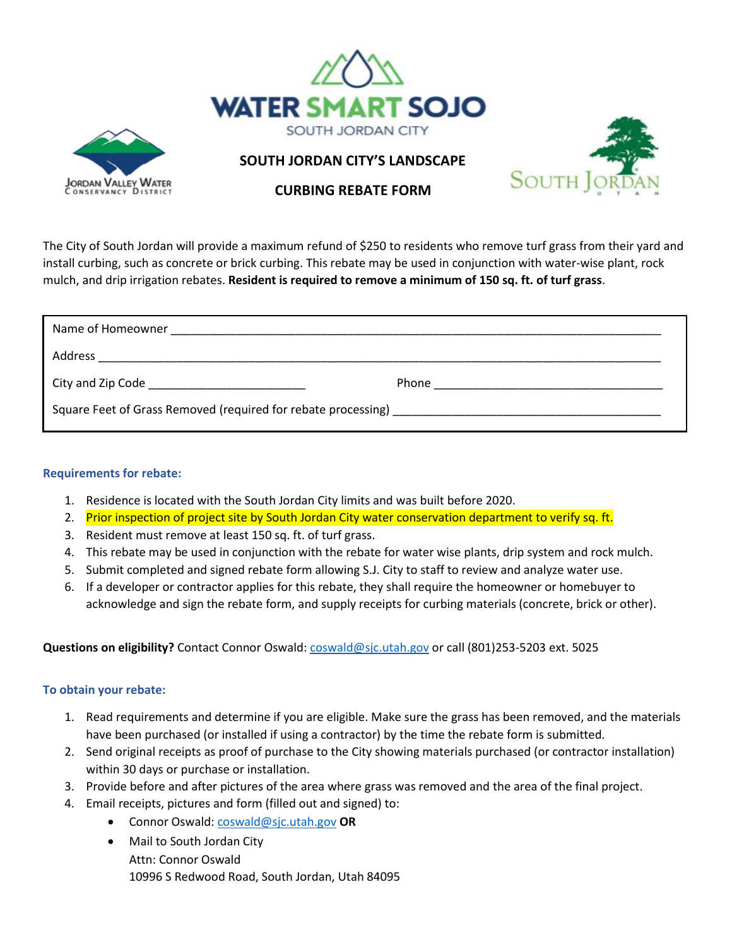



## **SOUTH JORDAN CITY'S LANDSCAPE**



## **CURBING REBATE FORM**

The City of South Jordan will provide a maximum refund of \$250 to residents who remove turf grass from their yard and install curbing, such as concrete or brick curbing. This rebate may be used in conjunction with water-wise plant, rock mulch, and drip irrigation rebates. **Resident is required to remove a minimum of 150 sq. ft. of turf grass**.

| Name of Homeowner |                                   |
|-------------------|-----------------------------------|
| Address           |                                   |
|                   | Phone <u>__________________</u> _ |
|                   |                                   |

## **Requirements for rebate:**

- 1. Residence is located with the South Jordan City limits and was built before 2020.
- 2. Prior inspection of project site by South Jordan City water conservation department to verify sq. ft.
- 3. Resident must remove at least 150 sq. ft. of turf grass.
- 4. This rebate may be used in conjunction with the rebate for water wise plants, drip system and rock mulch.
- 5. Submit completed and signed rebate form allowing S.J. City to staff to review and analyze water use.
- 6. If a developer or contractor applies for this rebate, they shall require the homeowner or homebuyer to acknowledge and sign the rebate form, and supply receipts for curbing materials (concrete, brick or other).

## **Questions on eligibility?** Contact Connor Oswald[: coswald@sjc.utah.gov](mailto:coswald@sjc.utah.gov) or call (801)253-5203 ext. 5025

## **To obtain your rebate:**

- 1. Read requirements and determine if you are eligible. Make sure the grass has been removed, and the materials have been purchased (or installed if using a contractor) by the time the rebate form is submitted.
- 2. Send original receipts as proof of purchase to the City showing materials purchased (or contractor installation) within 30 days or purchase or installation.
- 3. Provide before and after pictures of the area where grass was removed and the area of the final project.
- 4. Email receipts, pictures and form (filled out and signed) to:
	- Connor Oswald: [coswald@sjc.utah.gov](mailto:coswald@sjc.utah.gov) **OR**
	- Mail to South Jordan City Attn: Connor Oswald 10996 S Redwood Road, South Jordan, Utah 84095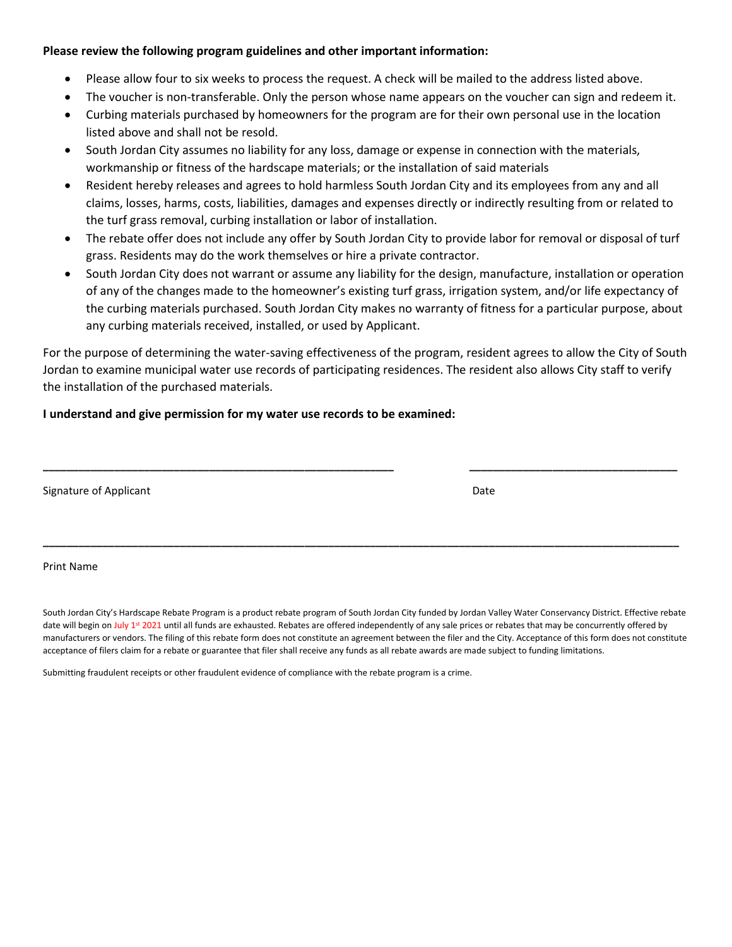#### **Please review the following program guidelines and other important information:**

- Please allow four to six weeks to process the request. A check will be mailed to the address listed above.
- The voucher is non-transferable. Only the person whose name appears on the voucher can sign and redeem it.
- Curbing materials purchased by homeowners for the program are for their own personal use in the location listed above and shall not be resold.
- South Jordan City assumes no liability for any loss, damage or expense in connection with the materials, workmanship or fitness of the hardscape materials; or the installation of said materials
- Resident hereby releases and agrees to hold harmless South Jordan City and its employees from any and all claims, losses, harms, costs, liabilities, damages and expenses directly or indirectly resulting from or related to the turf grass removal, curbing installation or labor of installation.
- The rebate offer does not include any offer by South Jordan City to provide labor for removal or disposal of turf grass. Residents may do the work themselves or hire a private contractor.
- South Jordan City does not warrant or assume any liability for the design, manufacture, installation or operation of any of the changes made to the homeowner's existing turf grass, irrigation system, and/or life expectancy of the curbing materials purchased. South Jordan City makes no warranty of fitness for a particular purpose, about any curbing materials received, installed, or used by Applicant.

For the purpose of determining the water-saving effectiveness of the program, resident agrees to allow the City of South Jordan to examine municipal water use records of participating residences. The resident also allows City staff to verify the installation of the purchased materials.

**\_\_\_\_\_\_\_\_\_\_\_\_\_\_\_\_\_\_\_\_\_\_\_\_\_\_\_\_\_\_\_\_\_\_\_\_\_\_\_\_\_\_\_\_\_\_\_\_\_\_\_\_\_\_\_\_\_\_\_ \_\_\_\_\_\_\_\_\_\_\_\_\_\_\_\_\_\_\_\_\_\_\_\_\_\_\_\_\_\_\_\_\_\_\_**

**\_\_\_\_\_\_\_\_\_\_\_\_\_\_\_\_\_\_\_\_\_\_\_\_\_\_\_\_\_\_\_\_\_\_\_\_\_\_\_\_\_\_\_\_\_\_\_\_\_\_\_\_\_\_\_\_\_\_\_\_\_\_\_\_\_\_\_\_\_\_\_\_\_\_\_\_\_\_\_\_\_\_\_\_\_\_\_\_\_\_\_\_\_\_\_\_\_\_\_\_\_\_\_\_\_\_\_**

#### **I understand and give permission for my water use records to be examined:**

| Signature of Applicant | Date |  |
|------------------------|------|--|
|                        |      |  |

## Print Name

South Jordan City's Hardscape Rebate Program is a product rebate program of South Jordan City funded by Jordan Valley Water Conservancy District. Effective rebate date will begin on July 1<sup>st</sup> 2021 until all funds are exhausted. Rebates are offered independently of any sale prices or rebates that may be concurrently offered by manufacturers or vendors. The filing of this rebate form does not constitute an agreement between the filer and the City. Acceptance of this form does not constitute acceptance of filers claim for a rebate or guarantee that filer shall receive any funds as all rebate awards are made subject to funding limitations.

Submitting fraudulent receipts or other fraudulent evidence of compliance with the rebate program is a crime.